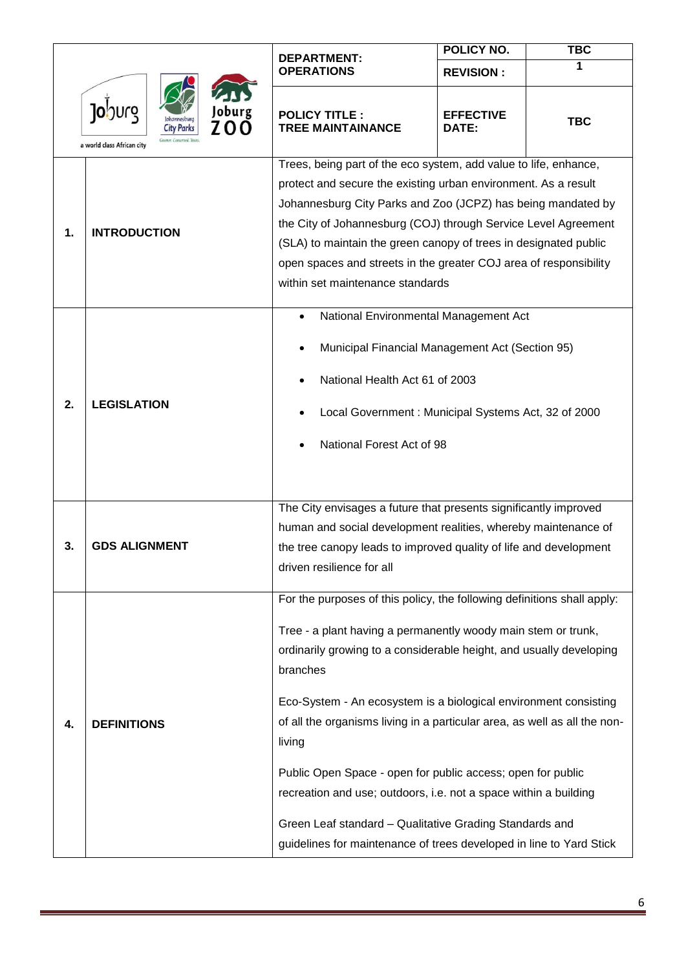| <b>10</b> 00rg<br>Joburg<br>70<br><b>City Parks</b><br>a world class African city |                      | <b>DEPARTMENT:</b>                                                                                    | <b>POLICY NO.</b>         | <b>TBC</b> |
|-----------------------------------------------------------------------------------|----------------------|-------------------------------------------------------------------------------------------------------|---------------------------|------------|
|                                                                                   |                      | <b>OPERATIONS</b>                                                                                     | <b>REVISION:</b>          |            |
|                                                                                   |                      | <b>POLICY TITLE:</b><br><b>TREE MAINTAINANCE</b>                                                      | <b>EFFECTIVE</b><br>DATE: | <b>TBC</b> |
|                                                                                   |                      | Trees, being part of the eco system, add value to life, enhance,                                      |                           |            |
|                                                                                   | <b>INTRODUCTION</b>  | protect and secure the existing urban environment. As a result                                        |                           |            |
|                                                                                   |                      | Johannesburg City Parks and Zoo (JCPZ) has being mandated by                                          |                           |            |
| 1.                                                                                |                      | the City of Johannesburg (COJ) through Service Level Agreement                                        |                           |            |
|                                                                                   |                      | (SLA) to maintain the green canopy of trees in designated public                                      |                           |            |
|                                                                                   |                      | open spaces and streets in the greater COJ area of responsibility<br>within set maintenance standards |                           |            |
|                                                                                   |                      |                                                                                                       |                           |            |
|                                                                                   |                      | National Environmental Management Act                                                                 |                           |            |
|                                                                                   |                      | Municipal Financial Management Act (Section 95)                                                       |                           |            |
|                                                                                   | <b>LEGISLATION</b>   | National Health Act 61 of 2003                                                                        |                           |            |
| 2.                                                                                |                      | Local Government: Municipal Systems Act, 32 of 2000                                                   |                           |            |
|                                                                                   |                      |                                                                                                       |                           |            |
|                                                                                   |                      | National Forest Act of 98                                                                             |                           |            |
|                                                                                   |                      |                                                                                                       |                           |            |
|                                                                                   |                      | The City envisages a future that presents significantly improved                                      |                           |            |
|                                                                                   |                      | human and social development realities, whereby maintenance of                                        |                           |            |
| 3.                                                                                | <b>GDS ALIGNMENT</b> | the tree canopy leads to improved quality of life and development                                     |                           |            |
|                                                                                   |                      | driven resilience for all                                                                             |                           |            |
|                                                                                   |                      | For the purposes of this policy, the following definitions shall apply:                               |                           |            |
|                                                                                   |                      | Tree - a plant having a permanently woody main stem or trunk,                                         |                           |            |
|                                                                                   | <b>DEFINITIONS</b>   | ordinarily growing to a considerable height, and usually developing                                   |                           |            |
|                                                                                   |                      | branches                                                                                              |                           |            |
|                                                                                   |                      | Eco-System - An ecosystem is a biological environment consisting                                      |                           |            |
| 4.                                                                                |                      | of all the organisms living in a particular area, as well as all the non-                             |                           |            |
|                                                                                   |                      | living                                                                                                |                           |            |
|                                                                                   |                      | Public Open Space - open for public access; open for public                                           |                           |            |
|                                                                                   |                      | recreation and use; outdoors, i.e. not a space within a building                                      |                           |            |
|                                                                                   |                      | Green Leaf standard - Qualitative Grading Standards and                                               |                           |            |
|                                                                                   |                      | guidelines for maintenance of trees developed in line to Yard Stick                                   |                           |            |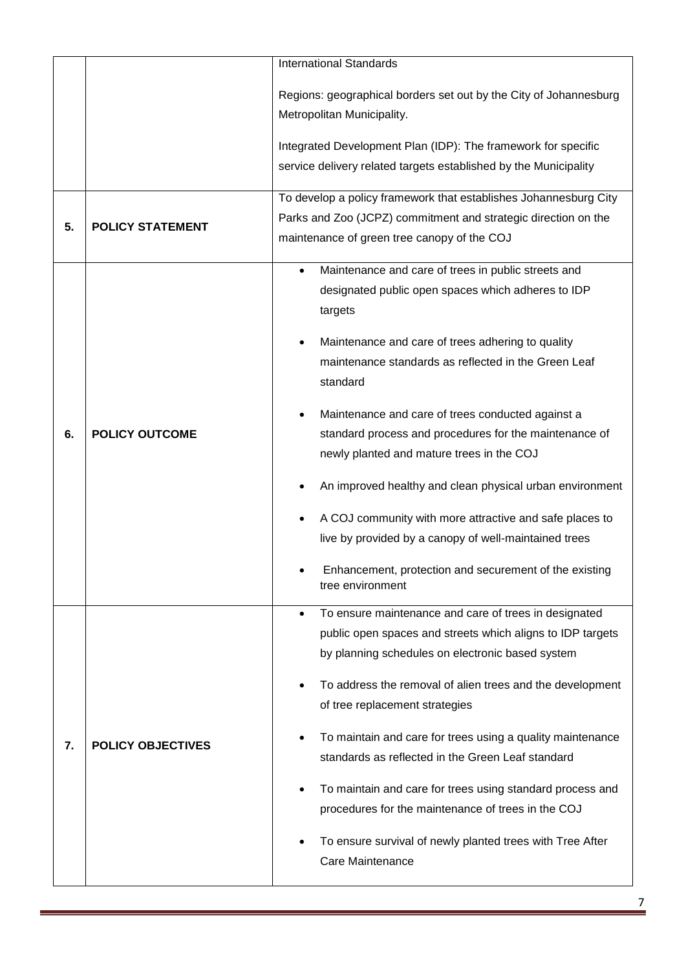|    | <b>International Standards</b> |                                                                                                                                                                                                                                                                                                                                                                                                                                                                                                                                                                                                                                                                                      |  |
|----|--------------------------------|--------------------------------------------------------------------------------------------------------------------------------------------------------------------------------------------------------------------------------------------------------------------------------------------------------------------------------------------------------------------------------------------------------------------------------------------------------------------------------------------------------------------------------------------------------------------------------------------------------------------------------------------------------------------------------------|--|
|    |                                | Regions: geographical borders set out by the City of Johannesburg<br>Metropolitan Municipality.                                                                                                                                                                                                                                                                                                                                                                                                                                                                                                                                                                                      |  |
|    |                                | Integrated Development Plan (IDP): The framework for specific                                                                                                                                                                                                                                                                                                                                                                                                                                                                                                                                                                                                                        |  |
|    |                                | service delivery related targets established by the Municipality                                                                                                                                                                                                                                                                                                                                                                                                                                                                                                                                                                                                                     |  |
| 5. | <b>POLICY STATEMENT</b>        | To develop a policy framework that establishes Johannesburg City<br>Parks and Zoo (JCPZ) commitment and strategic direction on the<br>maintenance of green tree canopy of the COJ                                                                                                                                                                                                                                                                                                                                                                                                                                                                                                    |  |
| 6. | <b>POLICY OUTCOME</b>          | Maintenance and care of trees in public streets and<br>$\bullet$<br>designated public open spaces which adheres to IDP<br>targets<br>Maintenance and care of trees adhering to quality<br>maintenance standards as reflected in the Green Leaf<br>standard<br>Maintenance and care of trees conducted against a<br>standard process and procedures for the maintenance of<br>newly planted and mature trees in the COJ<br>An improved healthy and clean physical urban environment<br>A COJ community with more attractive and safe places to<br>live by provided by a canopy of well-maintained trees<br>Enhancement, protection and securement of the existing<br>tree environment |  |
| 7. | <b>POLICY OBJECTIVES</b>       | To ensure maintenance and care of trees in designated<br>٠<br>public open spaces and streets which aligns to IDP targets<br>by planning schedules on electronic based system<br>To address the removal of alien trees and the development<br>of tree replacement strategies<br>To maintain and care for trees using a quality maintenance<br>standards as reflected in the Green Leaf standard<br>To maintain and care for trees using standard process and<br>procedures for the maintenance of trees in the COJ<br>To ensure survival of newly planted trees with Tree After<br>Care Maintenance                                                                                   |  |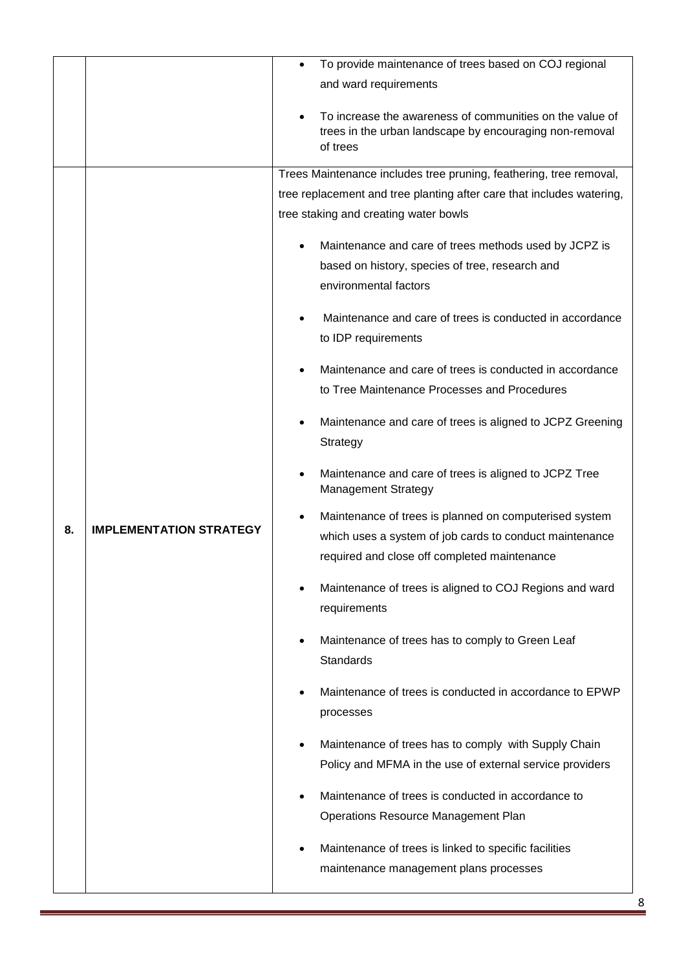|    |                                | To provide maintenance of trees based on COJ regional<br>$\bullet$                                                                |  |
|----|--------------------------------|-----------------------------------------------------------------------------------------------------------------------------------|--|
|    |                                | and ward requirements                                                                                                             |  |
|    |                                | To increase the awareness of communities on the value of<br>trees in the urban landscape by encouraging non-removal<br>of trees   |  |
|    |                                | Trees Maintenance includes tree pruning, feathering, tree removal,                                                                |  |
|    |                                | tree replacement and tree planting after care that includes watering,                                                             |  |
|    |                                | tree staking and creating water bowls                                                                                             |  |
|    |                                | Maintenance and care of trees methods used by JCPZ is<br>based on history, species of tree, research and<br>environmental factors |  |
|    |                                | Maintenance and care of trees is conducted in accordance<br>to IDP requirements                                                   |  |
|    |                                | Maintenance and care of trees is conducted in accordance<br>to Tree Maintenance Processes and Procedures                          |  |
|    |                                | Maintenance and care of trees is aligned to JCPZ Greening<br>Strategy                                                             |  |
|    |                                | Maintenance and care of trees is aligned to JCPZ Tree<br><b>Management Strategy</b>                                               |  |
|    |                                | Maintenance of trees is planned on computerised system                                                                            |  |
| 8. | <b>IMPLEMENTATION STRATEGY</b> | which uses a system of job cards to conduct maintenance                                                                           |  |
|    |                                | required and close off completed maintenance                                                                                      |  |
|    |                                | Maintenance of trees is aligned to COJ Regions and ward<br>requirements                                                           |  |
|    |                                | Maintenance of trees has to comply to Green Leaf<br>Standards                                                                     |  |
|    |                                | Maintenance of trees is conducted in accordance to EPWP<br>processes                                                              |  |
|    |                                | Maintenance of trees has to comply with Supply Chain                                                                              |  |
|    |                                | Policy and MFMA in the use of external service providers                                                                          |  |
|    |                                |                                                                                                                                   |  |
|    |                                | Maintenance of trees is conducted in accordance to                                                                                |  |
|    |                                | <b>Operations Resource Management Plan</b>                                                                                        |  |
|    |                                | Maintenance of trees is linked to specific facilities                                                                             |  |
|    |                                | maintenance management plans processes                                                                                            |  |
|    |                                |                                                                                                                                   |  |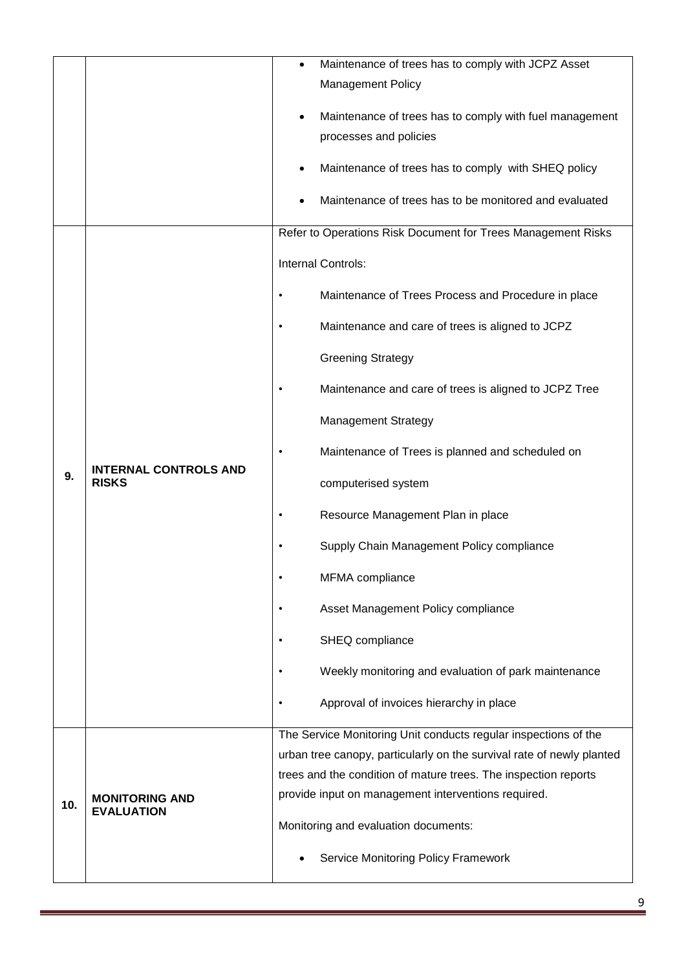|     |                                              | Maintenance of trees has to comply with JCPZ Asset                                |  |
|-----|----------------------------------------------|-----------------------------------------------------------------------------------|--|
|     |                                              | <b>Management Policy</b>                                                          |  |
|     |                                              |                                                                                   |  |
|     |                                              | Maintenance of trees has to comply with fuel management<br>processes and policies |  |
|     |                                              |                                                                                   |  |
|     |                                              | Maintenance of trees has to comply with SHEQ policy                               |  |
|     |                                              | Maintenance of trees has to be monitored and evaluated                            |  |
|     |                                              | Refer to Operations Risk Document for Trees Management Risks                      |  |
|     | <b>INTERNAL CONTROLS AND</b><br><b>RISKS</b> | Internal Controls:                                                                |  |
|     |                                              | Maintenance of Trees Process and Procedure in place<br>٠                          |  |
|     |                                              | Maintenance and care of trees is aligned to JCPZ<br>٠                             |  |
|     |                                              | <b>Greening Strategy</b>                                                          |  |
|     |                                              | Maintenance and care of trees is aligned to JCPZ Tree<br>٠                        |  |
|     |                                              | <b>Management Strategy</b>                                                        |  |
|     |                                              | Maintenance of Trees is planned and scheduled on                                  |  |
| 9.  |                                              | computerised system                                                               |  |
|     |                                              | Resource Management Plan in place                                                 |  |
|     |                                              | Supply Chain Management Policy compliance                                         |  |
|     |                                              | MFMA compliance                                                                   |  |
|     |                                              | Asset Management Policy compliance<br>٠                                           |  |
|     |                                              | SHEQ compliance<br>$\bullet$                                                      |  |
|     |                                              | Weekly monitoring and evaluation of park maintenance<br>٠                         |  |
|     |                                              | Approval of invoices hierarchy in place<br>٠                                      |  |
|     | <b>MONITORING AND</b><br><b>EVALUATION</b>   | The Service Monitoring Unit conducts regular inspections of the                   |  |
|     |                                              | urban tree canopy, particularly on the survival rate of newly planted             |  |
|     |                                              | trees and the condition of mature trees. The inspection reports                   |  |
| 10. |                                              | provide input on management interventions required.                               |  |
|     |                                              | Monitoring and evaluation documents:                                              |  |
|     |                                              | <b>Service Monitoring Policy Framework</b>                                        |  |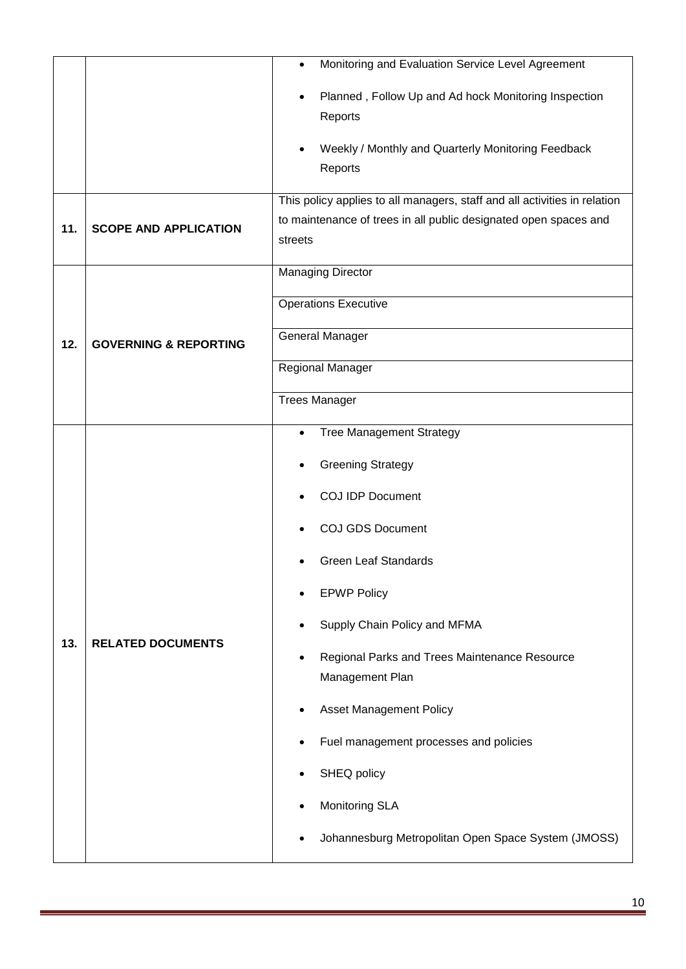|     |                                  | Monitoring and Evaluation Service Level Agreement<br>$\bullet$                                                                                           |  |
|-----|----------------------------------|----------------------------------------------------------------------------------------------------------------------------------------------------------|--|
|     |                                  | Planned, Follow Up and Ad hock Monitoring Inspection<br>Reports                                                                                          |  |
|     |                                  | Weekly / Monthly and Quarterly Monitoring Feedback<br>Reports                                                                                            |  |
| 11. | <b>SCOPE AND APPLICATION</b>     | This policy applies to all managers, staff and all activities in relation<br>to maintenance of trees in all public designated open spaces and<br>streets |  |
|     |                                  | <b>Managing Director</b>                                                                                                                                 |  |
|     | <b>GOVERNING &amp; REPORTING</b> | <b>Operations Executive</b>                                                                                                                              |  |
| 12. |                                  | <b>General Manager</b>                                                                                                                                   |  |
|     |                                  | Regional Manager                                                                                                                                         |  |
|     |                                  | <b>Trees Manager</b>                                                                                                                                     |  |
|     | <b>RELATED DOCUMENTS</b>         | <b>Tree Management Strategy</b><br>$\bullet$                                                                                                             |  |
|     |                                  | <b>Greening Strategy</b>                                                                                                                                 |  |
|     |                                  | <b>COJ IDP Document</b>                                                                                                                                  |  |
|     |                                  | <b>COJ GDS Document</b>                                                                                                                                  |  |
|     |                                  | <b>Green Leaf Standards</b>                                                                                                                              |  |
|     |                                  | <b>EPWP Policy</b>                                                                                                                                       |  |
|     |                                  | Supply Chain Policy and MFMA                                                                                                                             |  |
| 13. |                                  | Regional Parks and Trees Maintenance Resource                                                                                                            |  |
|     |                                  | Management Plan                                                                                                                                          |  |
|     |                                  | <b>Asset Management Policy</b>                                                                                                                           |  |
|     |                                  | Fuel management processes and policies                                                                                                                   |  |
|     |                                  | SHEQ policy                                                                                                                                              |  |
|     |                                  | <b>Monitoring SLA</b>                                                                                                                                    |  |
|     |                                  | Johannesburg Metropolitan Open Space System (JMOSS)                                                                                                      |  |